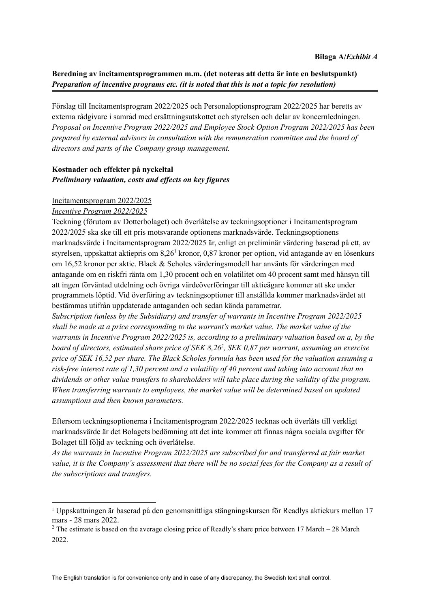# **Beredning av incitamentsprogrammen m.m. (det noteras att detta är inte en beslutspunkt)** *Preparation of incentive programs etc. (it is noted that this is not a topic for resolution)*

Förslag till Incitamentsprogram 2022/2025 och Personaloptionsprogram 2022/2025 har beretts av externa rådgivare i samråd med ersättningsutskottet och styrelsen och delar av koncernledningen. *Proposal on Incentive Program 2022/2025 and Employee Stock Option Program 2022/2025 has been prepared by external advisors in consultation with the remuneration committee and the board of directors and parts of the Company group management.*

## **Kostnader och effekter på nyckeltal** *Preliminary valuation, costs and ef ects on key figures*

### Incitamentsprogram 2022/2025

### *Incentive Program 2022/2025*

Teckning (förutom av Dotterbolaget) och överlåtelse av teckningsoptioner i Incitamentsprogram 2022/2025 ska ske till ett pris motsvarande optionens marknadsvärde. Teckningsoptionens marknadsvärde i Incitamentsprogram 2022/2025 är, enligt en preliminär värdering baserad på ett, av styrelsen, uppskattat aktiepris om 8,26<sup>1</sup> kronor, 0,87 kronor per option, vid antagande av en lösenkurs om 16,52 kronor per aktie. Black & Scholes värderingsmodell har använts för värderingen med antagande om en riskfri ränta om 1,30 procent och en volatilitet om 40 procent samt med hänsyn till att ingen förväntad utdelning och övriga värdeöverföringar till aktieägare kommer att ske under programmets löptid. Vid överföring av teckningsoptioner till anställda kommer marknadsvärdet att bestämmas utifrån uppdaterade antaganden och sedan kända parametrar.

*Subscription (unless by the Subsidiary) and transfer of warrants in Incentive Program 2022/2025 shall be made at a price corresponding to the warrant's market value. The market value of the warrants in Incentive Program 2022/2025 is, according to a preliminary valuation based on a, by the* board of directors, estimated share price of SEK 8,26<sup>2</sup>, SEK 0,87 per warrant, assuming an exercise *price of SEK 16,52 per share. The Black Scholes formula has been used for the valuation assuming a* risk-free interest rate of 1,30 percent and a volatility of 40 percent and taking into account that no *dividends or other value transfers to shareholders will take place during the validity of the program. When transferring warrants to employees, the market value will be determined based on updated assumptions and then known parameters.*

Eftersom teckningsoptionerna i Incitamentsprogram 2022/2025 tecknas och överlåts till verkligt marknadsvärde är det Bolagets bedömning att det inte kommer att finnas några sociala avgifter för Bolaget till följd av teckning och överlåtelse.

*As the warrants in Incentive Program 2022/2025 are subscribed for and transferred at fair market* value, it is the Company's assessment that there will be no social fees for the Company as a result of *the subscriptions and transfers.*

<sup>1</sup> Uppskattningen är baserad på den genomsnittliga stängningskursen för Readlys aktiekurs mellan 17 mars - 28 mars 2022.

<sup>&</sup>lt;sup>2</sup> The estimate is based on the average closing price of Readly's share price between 17 March – 28 March 2022.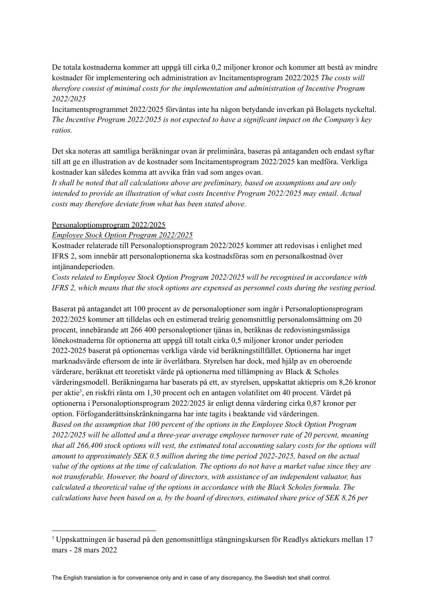De totala kostnaderna kommer att uppgå till cirka 0,2 miljoner kronor och kommer att bestå av mindre kostnader för implementering och administration av Incitamentsprogram 2022/2025 *The costs will therefore consist of minimal costs for the implementation and administration of Incentive Program 2022/2025*

Incitamentsprogrammet 2022/2025 förväntas inte ha någon betydande inverkan på Bolagets nyckeltal. *The Incentive Program 2022/2025 is not expected to have a significant impact on the Company's key ratios.*

Det ska noteras att samtliga beräkningar ovan är preliminära, baseras på antaganden och endast syftar till att ge en illustration av de kostnader som Incitamentsprogram 2022/2025 kan medföra. Verkliga kostnader kan således komma att avvika från vad som anges ovan.

*It shall be noted that all calculations above are preliminary, based on assumptions and are only intended to provide an illustration of what costs Incentive Program 2022/2025 may entail. Actual costs may therefore deviate from what has been stated above.*

#### Personaloptionsprogram 2022/2025

#### *Employee Stock Option Program 2022/2025*

Kostnader relaterade till Personaloptionsprogram 2022/2025 kommer att redovisas i enlighet med IFRS 2, som innebär att personaloptionerna ska kostnadsföras som en personalkostnad över intjänandeperioden.

*Costs related to Employee Stock Option Program 2022/2025 will be recognised in accordance with IFRS 2, which means that the stock options are expensed as personnel costs during the vesting period.*

Baserat på antagandet att 100 procent av de personaloptioner som ingår i Personaloptionsprogram 2022/2025 kommer att tilldelas och en estimerad treårig genomsnittlig personalomsättning om 20 procent, innebärande att 266 400 personaloptioner tjänas in, beräknas de redovisningsmässiga lönekostnaderna för optionerna att uppgå till totalt cirka 0,5 miljoner kronor under perioden 2022-2025 baserat på optionernas verkliga värde vid beräkningstillfället. Optionerna har inget marknadsvärde eftersom de inte är överlåtbara. Styrelsen har dock, med hjälp av en oberoende värderare, beräknat ett teoretiskt värde på optionerna med tillämpning av Black & Scholes värderingsmodell. Beräkningarna har baserats på ett, av styrelsen, uppskattat aktiepris om 8,26 kronor per aktie 3 , en riskfri ränta om 1,30 procent och en antagen volatilitet om 40 procent. Värdet på optionerna i Personaloptionsprogram 2022/2025 är enligt denna värdering cirka 0,87 kronor per option. Förfoganderättsinskränkningarna har inte tagits i beaktande vid värderingen. *Based on the assumption that 100 percent of the options in the Employee Stock Option Program 2022/2025 will be allotted and a three-year average employee turnover rate of 20 percent, meaning* that all 266,400 stock options will vest, the estimated total accounting salary costs for the options will *amount to approximately SEK 0.5 million during the time period 2022-2025, based on the actual* value of the options at the time of calculation. The options do not have a market value since they are *not transferable. However, the board of directors, with assistance of an independent valuator, has calculated a theoretical value of the options in accordance with the Black Scholes formula. The* calculations have been based on a, by the board of directors, estimated share price of SEK 8,26 per

<sup>3</sup> Uppskattningen är baserad på den genomsnittliga stängningskursen för Readlys aktiekurs mellan 17 mars - 28 mars 2022

The English translation is for convenience only and in case of any discrepancy, the Swedish text shall control.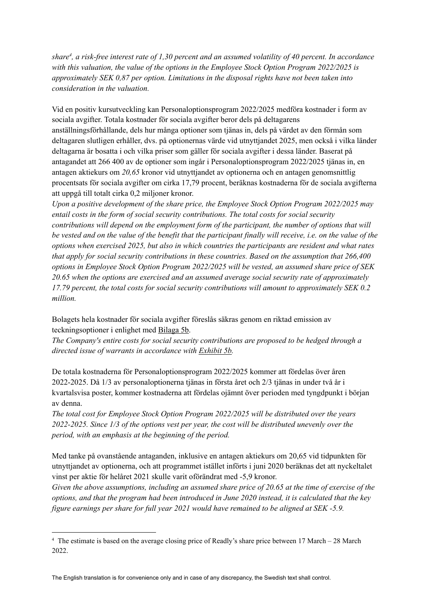share<sup>4</sup>, a risk-free interest rate of 1,30 percent and an assumed volatility of 40 percent. In accordance *with this valuation, the value of the options in the Employee Stock Option Program 2022/2025 is approximately SEK 0,87 per option. Limitations in the disposal rights have not been taken into consideration in the valuation.*

Vid en positiv kursutveckling kan Personaloptionsprogram 2022/2025 medföra kostnader i form av sociala avgifter. Totala kostnader för sociala avgifter beror dels på deltagarens anställningsförhållande, dels hur många optioner som tjänas in, dels på värdet av den förmån som deltagaren slutligen erhåller, dvs. på optionernas värde vid utnyttjandet 2025, men också i vilka länder deltagarna är bosatta i och vilka priser som gäller för sociala avgifter i dessa länder. Baserat på antagandet att 266 400 av de optioner som ingår i Personaloptionsprogram 2022/2025 tjänas in, en antagen aktiekurs om *20,65* kronor vid utnyttjandet av optionerna och en antagen genomsnittlig procentsats för sociala avgifter om cirka 17,79 procent, beräknas kostnaderna för de sociala avgifterna att uppgå till totalt cirka 0,2 miljoner kronor.

*Upon a positive development of the share price, the Employee Stock Option Program 2022/2025 may entail costs in the form of social security contributions. The total costs for social security contributions will depend on the employment form of the participant, the number of options that will* be vested and on the value of the benefit that the participant finally will receive, i.e. on the value of the *options when exercised 2025, but also in which countries the participants are resident and what rates that apply for social security contributions in these countries. Based on the assumption that 266,400 options in Employee Stock Option Program 2022/2025 will be vested, an assumed share price of SEK 20.65 when the options are exercised and an assumed average social security rate of approximately 17.79 percent, the total costs for social security contributions will amount to approximately SEK 0.2 million.*

Bolagets hela kostnader för sociala avgifter föreslås säkras genom en riktad emission av teckningsoptioner i enlighet med Bilaga 5b.

*The Company's entire costs for social security contributions are proposed to be hedged through a directed issue of warrants in accordance with Exhibit 5b.*

De totala kostnaderna för Personaloptionsprogram 2022/2025 kommer att fördelas över åren 2022-2025. Då 1/3 av personaloptionerna tjänas in första året och 2/3 tjänas in under två år i kvartalsvisa poster, kommer kostnaderna att fördelas ojämnt över perioden med tyngdpunkt i början av denna.

*The total cost for Employee Stock Option Program 2022/2025 will be distributed over the years 2022-2025. Since 1/3 of the options vest per year, the cost will be distributed unevenly over the period, with an emphasis at the beginning of the period.*

Med tanke på ovanstående antaganden, inklusive en antagen aktiekurs om 20,65 vid tidpunkten för utnyttjandet av optionerna, och att programmet istället införts i juni 2020 beräknas det att nyckeltalet vinst per aktie för helåret 2021 skulle varit oförändrat med -5,9 kronor.

Given the above assumptions, including an assumed share price of  $20.65$  at the time of exercise of the options, and that the program had been introduced in June 2020 instead, it is calculated that the key *figure earnings per share for full year 2021 would have remained to be aligned at SEK -5.9.*

<sup>4</sup> The estimate is based on the average closing price of Readly's share price between 17 March – 28 March 2022.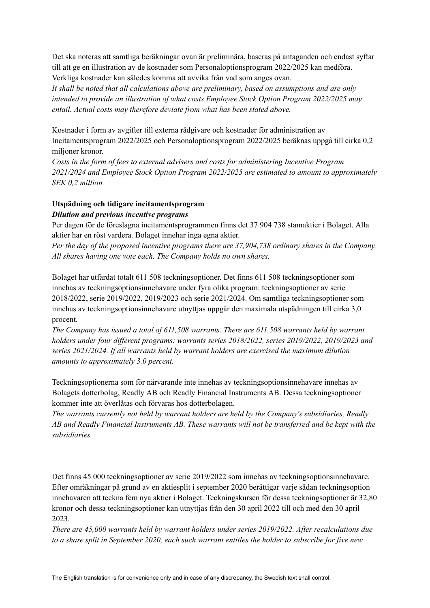Det ska noteras att samtliga beräkningar ovan är preliminära, baseras på antaganden och endast syftar till att ge en illustration av de kostnader som Personaloptionsprogram 2022/2025 kan medföra.

Verkliga kostnader kan således komma att avvika från vad som anges ovan.

*It shall be noted that all calculations above are preliminary, based on assumptions and are only intended to provide an illustration of what costs Employee Stock Option Program 2022/2025 may entail. Actual costs may therefore deviate from what has been stated above.*

Kostnader i form av avgifter till externa rådgivare och kostnader för administration av Incitamentsprogram 2022/2025 och Personaloptionsprogram 2022/2025 beräknas uppgå till cirka 0,2 miljoner kronor.

*Costs in the form of fees to external advisers and costs for administering Incentive Program 2021/2024 and Employee Stock Option Program 2022/2025 are estimated to amount to approximately SEK 0,2 million.*

## **Utspädning och tidigare incitamentsprogram** *Dilution and previous incentive programs*

Per dagen för de föreslagna incitamentsprogrammen finns det 37 904 738 stamaktier i Bolaget. Alla aktier har en röst vardera. Bolaget innehar inga egna aktier.

*Per the day of the proposed incentive programs there are 37,904,738 ordinary shares in the Company. All shares having one vote each. The Company holds no own shares.*

Bolaget har utfärdat totalt 611 508 teckningsoptioner. Det finns 611 508 teckningsoptioner som innehas av teckningsoptionsinnehavare under fyra olika program: teckningsoptioner av serie 2018/2022, serie 2019/2022, 2019/2023 och serie 2021/2024. Om samtliga teckningsoptioner som innehas av teckningsoptionsinnehavare utnyttjas uppgår den maximala utspädningen till cirka 3,0 procent.

*The Company has issued a total of 611,508 warrants. There are 611,508 warrants held by warrant holders under four dif erent programs: warrants series 2018/2022, series 2019/2022, 2019/2023 and series 2021/2024. If all warrants held by warrant holders are exercised the maximum dilution amounts to approximately 3.0 percent.*

Teckningsoptionerna som för närvarande inte innehas av teckningsoptionsinnehavare innehas av Bolagets dotterbolag, Readly AB och Readly Financial Instruments AB. Dessa teckningsoptioner kommer inte att överlåtas och förvaras hos dotterbolagen.

*The warrants currently not held by warrant holders are held by the Company's subsidiaries, Readly AB and Readly Financial Instruments AB. These warrants will not be transferred and be kept with the subsidiaries.*

Det finns 45 000 teckningsoptioner av serie 2019/2022 som innehas av teckningsoptionsinnehavare. Efter omräkningar på grund av en aktiesplit i september 2020 berättigar varje sådan teckningsoption innehavaren att teckna fem nya aktier i Bolaget. Teckningskursen för dessa teckningsoptioner är 32,80 kronor och dessa teckningsoptioner kan utnyttjas från den 30 april 2022 till och med den 30 april 2023.

*There are 45,000 warrants held by warrant holders under series 2019/2022. After recalculations due* to a share split in September 2020, each such warrant entitles the holder to subscribe for five new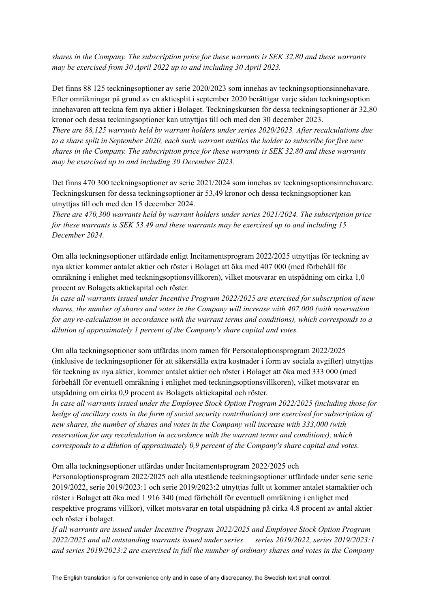*shares in the Company. The subscription price for these warrants is SEK 32.80 and these warrants may be exercised from 30 April 2022 up to and including 30 April 2023.*

Det finns 88 125 teckningsoptioner av serie 2020/2023 som innehas av teckningsoptionsinnehavare. Efter omräkningar på grund av en aktiesplit i september 2020 berättigar varje sådan teckningsoption innehavaren att teckna fem nya aktier i Bolaget. Teckningskursen för dessa teckningsoptioner är 32,80 kronor och dessa teckningsoptioner kan utnyttjas till och med den 30 december 2023. *There are 88,125 warrants held by warrant holders under series 2020/2023. After recalculations due* to a share split in September 2020, each such warrant entitles the holder to subscribe for five new *shares in the Company. The subscription price for these warrants is SEK 32.80 and these warrants may be exercised up to and including 30 December 2023.*

Det finns 470 300 teckningsoptioner av serie 2021/2024 som innehas av teckningsoptionsinnehavare. Teckningskursen för dessa teckningsoptioner är 53,49 kronor och dessa teckningsoptioner kan utnyttjas till och med den 15 december 2024.

*There are 470,300 warrants held by warrant holders under series 2021/2024. The subscription price for these warrants is SEK 53.49 and these warrants may be exercised up to and including 15 December 2024.*

Om alla teckningsoptioner utfärdade enligt Incitamentsprogram 2022/2025 utnyttjas för teckning av nya aktier kommer antalet aktier och röster i Bolaget att öka med 407 000 (med förbehåll för omräkning i enlighet med teckningsoptionsvillkoren), vilket motsvarar en utspädning om cirka 1,0 procent av Bolagets aktiekapital och röster.

*In case all warrants issued under Incentive Program 2022/2025 are exercised for subscription of new shares, the number of shares and votes in the Company will increase with 407,000 (with reservation for any re-calculation in accordance with the warrant terms and conditions), which corresponds to a dilution of approximately 1 percent of the Company's share capital and votes.*

Om alla teckningsoptioner som utfärdas inom ramen för Personaloptionsprogram 2022/2025 (inklusive de teckningsoptioner för att säkerställa extra kostnader i form av sociala avgifter) utnyttjas för teckning av nya aktier, kommer antalet aktier och röster i Bolaget att öka med 333 000 (med förbehåll för eventuell omräkning i enlighet med teckningsoptionsvillkoren), vilket motsvarar en utspädning om cirka 0,9 procent av Bolagets aktiekapital och röster.

*In case all warrants issued under the Employee Stock Option Program 2022/2025 (including those for hedge of ancillary costs in the form of social security contributions) are exercised for subscription of new shares, the number of shares and votes in the Company will increase with 333,000 (with reservation for any recalculation in accordance with the warrant terms and conditions), which corresponds to a dilution of approximately 0,9 percent of the Company's share capital and votes.*

Om alla teckningsoptioner utfärdas under Incitamentsprogram 2022/2025 och

Personaloptionsprogram 2022/2025 och alla utestående teckningsoptioner utfärdade under serie serie 2019/2022, serie 2019/2023:1 och serie 2019/2023:2 utnyttjas fullt ut kommer antalet stamaktier och röster i Bolaget att öka med 1 916 340 (med förbehåll för eventuell omräkning i enlighet med respektive programs villkor), vilket motsvarar en total utspädning på cirka 4.8 procent av antal aktier och röster i bolaget.

*If all warrants are issued under Incentive Program 2022/2025 and Employee Stock Option Program 2022/2025 and all outstanding warrants issued under series series 2019/2022, series 2019/2023:1 and series 2019/2023:2 are exercised in full the number of ordinary shares and votes in the Company*